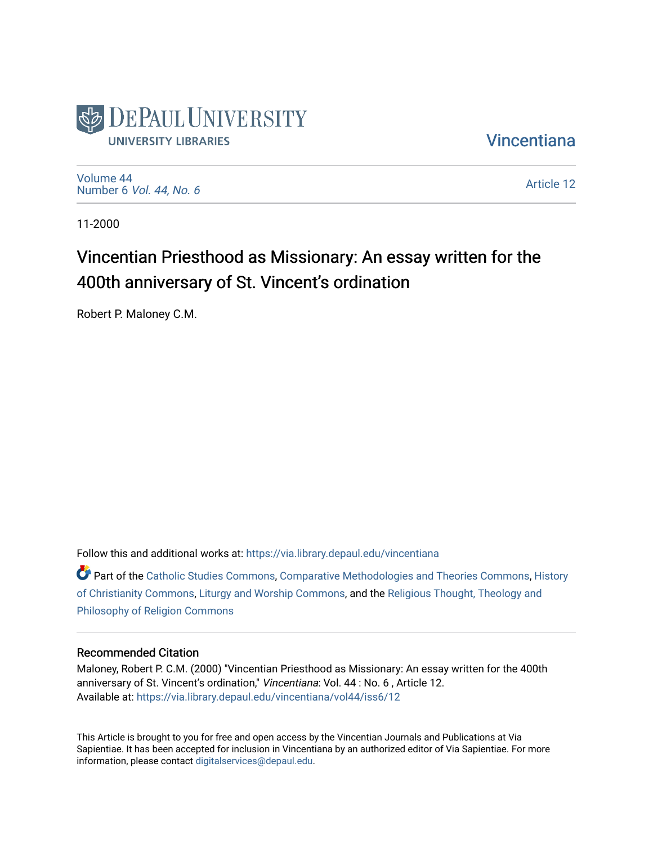

**Vincentiana** 

[Volume 44](https://via.library.depaul.edu/vincentiana/vol44) Number 6 [Vol. 44, No. 6](https://via.library.depaul.edu/vincentiana/vol44/iss6)

[Article 12](https://via.library.depaul.edu/vincentiana/vol44/iss6/12) 

11-2000

# Vincentian Priesthood as Missionary: An essay written for the 400th anniversary of St. Vincent's ordination

Robert P. Maloney C.M.

Follow this and additional works at: [https://via.library.depaul.edu/vincentiana](https://via.library.depaul.edu/vincentiana?utm_source=via.library.depaul.edu%2Fvincentiana%2Fvol44%2Fiss6%2F12&utm_medium=PDF&utm_campaign=PDFCoverPages) 

Part of the [Catholic Studies Commons](http://network.bepress.com/hgg/discipline/1294?utm_source=via.library.depaul.edu%2Fvincentiana%2Fvol44%2Fiss6%2F12&utm_medium=PDF&utm_campaign=PDFCoverPages), [Comparative Methodologies and Theories Commons,](http://network.bepress.com/hgg/discipline/540?utm_source=via.library.depaul.edu%2Fvincentiana%2Fvol44%2Fiss6%2F12&utm_medium=PDF&utm_campaign=PDFCoverPages) [History](http://network.bepress.com/hgg/discipline/1182?utm_source=via.library.depaul.edu%2Fvincentiana%2Fvol44%2Fiss6%2F12&utm_medium=PDF&utm_campaign=PDFCoverPages)  [of Christianity Commons](http://network.bepress.com/hgg/discipline/1182?utm_source=via.library.depaul.edu%2Fvincentiana%2Fvol44%2Fiss6%2F12&utm_medium=PDF&utm_campaign=PDFCoverPages), [Liturgy and Worship Commons,](http://network.bepress.com/hgg/discipline/1188?utm_source=via.library.depaul.edu%2Fvincentiana%2Fvol44%2Fiss6%2F12&utm_medium=PDF&utm_campaign=PDFCoverPages) and the [Religious Thought, Theology and](http://network.bepress.com/hgg/discipline/544?utm_source=via.library.depaul.edu%2Fvincentiana%2Fvol44%2Fiss6%2F12&utm_medium=PDF&utm_campaign=PDFCoverPages) [Philosophy of Religion Commons](http://network.bepress.com/hgg/discipline/544?utm_source=via.library.depaul.edu%2Fvincentiana%2Fvol44%2Fiss6%2F12&utm_medium=PDF&utm_campaign=PDFCoverPages)

#### Recommended Citation

Maloney, Robert P. C.M. (2000) "Vincentian Priesthood as Missionary: An essay written for the 400th anniversary of St. Vincent's ordination," Vincentiana: Vol. 44 : No. 6 , Article 12. Available at: [https://via.library.depaul.edu/vincentiana/vol44/iss6/12](https://via.library.depaul.edu/vincentiana/vol44/iss6/12?utm_source=via.library.depaul.edu%2Fvincentiana%2Fvol44%2Fiss6%2F12&utm_medium=PDF&utm_campaign=PDFCoverPages)

This Article is brought to you for free and open access by the Vincentian Journals and Publications at Via Sapientiae. It has been accepted for inclusion in Vincentiana by an authorized editor of Via Sapientiae. For more information, please contact [digitalservices@depaul.edu](mailto:digitalservices@depaul.edu).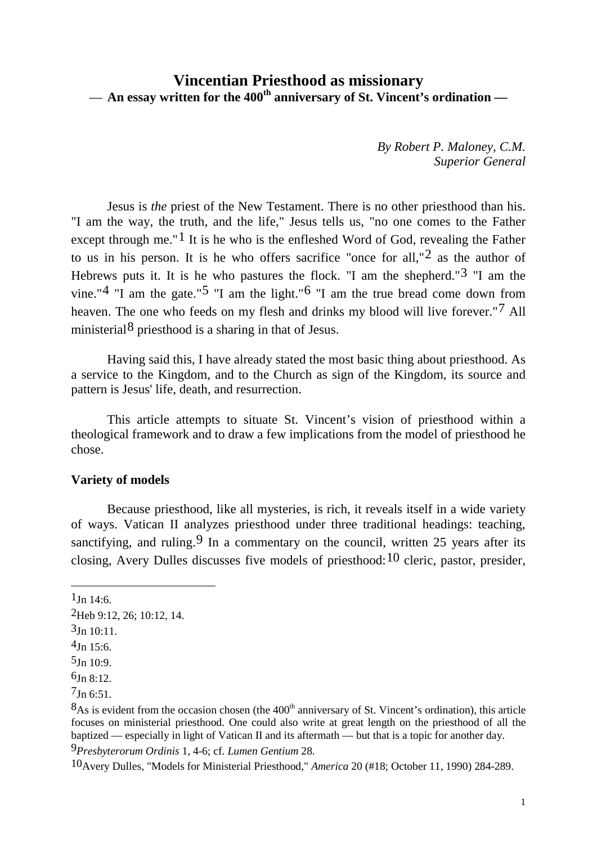### **Vincentian Priesthood as missionary** — **An essay written for the 400th anniversary of St. Vincent's ordination —**

*By Robert P. Maloney, C.M. Superior General*

Jesus is *the* priest of the New Testament. There is no other priesthood than his. "I am the way, the truth, and the life," Jesus tells us, "no one comes to the Father except through me."<sup>[1](#page-1-0)</sup> It is he who is the enfleshed Word of God, revealing the Father to us in his person. It is he who offers sacrifice "once for all," $2$  as the author of Hebrews puts it. It is he who pastures the flock. "I am the shepherd."[3](#page-1-2) "I am the vine."<sup>[4](#page-1-3)</sup> "I am the gate."<sup>[5](#page-1-4)</sup> "I am the light."<sup>[6](#page-1-5)</sup> "I am the true bread come down from heaven. The one who feeds on my flesh and drinks my blood will live forever."[7](#page-1-6) All ministerial<sup>[8](#page-1-7)</sup> priesthood is a sharing in that of Jesus.

Having said this, I have already stated the most basic thing about priesthood. As a service to the Kingdom, and to the Church as sign of the Kingdom, its source and pattern is Jesus' life, death, and resurrection.

This article attempts to situate St. Vincent's vision of priesthood within a theological framework and to draw a few implications from the model of priesthood he chose.

#### **Variety of models**

Because priesthood, like all mysteries, is rich, it reveals itself in a wide variety of ways. Vatican II analyzes priesthood under three traditional headings: teaching, sanctifying, and ruling.<sup>[9](#page-1-8)</sup> In a commentary on the council, written 25 years after its closing, Avery Dulles discusses five models of priesthood:  $10$  cleric, pastor, presider,

<span id="page-1-0"></span> $1_{\text{In }14.6}$ 

1

<span id="page-1-9"></span><span id="page-1-8"></span>9*Presbyterorum Ordinis* 1, 4-6; cf. *Lumen Gentium* 28.

10Avery Dulles, "Models for Ministerial Priesthood," *America* 20 (#18; October 11, 1990) 284-289.

<span id="page-1-1"></span><sup>2</sup>Heb 9:12, 26; 10:12, 14.

<span id="page-1-2"></span> $3Jn$  10:11.

<span id="page-1-3"></span> $4$ Jn 15:6.

<span id="page-1-4"></span> $5Jn$  10:9.

<span id="page-1-5"></span><sup>6</sup>Jn 8:12.

<span id="page-1-6"></span> $7Jn$  6:51.

<span id="page-1-7"></span> $8$ As is evident from the occasion chosen (the 400<sup>th</sup> anniversary of St. Vincent's ordination), this article focuses on ministerial priesthood. One could also write at great length on the priesthood of all the baptized — especially in light of Vatican II and its aftermath — but that is a topic for another day.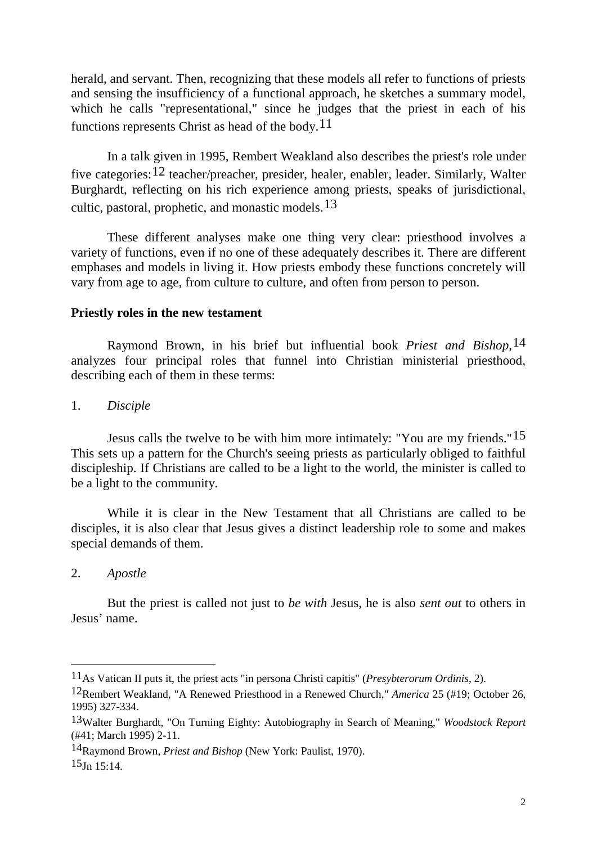herald, and servant. Then, recognizing that these models all refer to functions of priests and sensing the insufficiency of a functional approach, he sketches a summary model, which he calls "representational," since he judges that the priest in each of his functions represents Christ as head of the body.<sup>[11](#page-2-0)</sup>

In a talk given in 1995, Rembert Weakland also describes the priest's role under five categories:[12](#page-2-1) teacher/preacher, presider, healer, enabler, leader. Similarly, Walter Burghardt, reflecting on his rich experience among priests, speaks of jurisdictional, cultic, pastoral, prophetic, and monastic models,  $13$ 

These different analyses make one thing very clear: priesthood involves a variety of functions, even if no one of these adequately describes it. There are different emphases and models in living it. How priests embody these functions concretely will vary from age to age, from culture to culture, and often from person to person.

#### **Priestly roles in the new testament**

Raymond Brown, in his brief but influential book *Priest and Bishop*,[14](#page-2-3) analyzes four principal roles that funnel into Christian ministerial priesthood, describing each of them in these terms:

1. *Disciple*

Jesus calls the twelve to be with him more intimately: "You are my friends."[15](#page-2-4) This sets up a pattern for the Church's seeing priests as particularly obliged to faithful discipleship. If Christians are called to be a light to the world, the minister is called to be a light to the community.

While it is clear in the New Testament that all Christians are called to be disciples, it is also clear that Jesus gives a distinct leadership role to some and makes special demands of them.

2. *Apostle*

-

But the priest is called not just to *be with* Jesus, he is also *sent out* to others in Jesus' name.

<span id="page-2-4"></span><span id="page-2-3"></span>14Raymond Brown, *Priest and Bishop* (New York: Paulist, 1970).  $15\text{Jn}$  15:14.

<span id="page-2-0"></span><sup>11</sup>As Vatican II puts it, the priest acts "in persona Christi capitis" (*Presybterorum Ordinis*, 2).

<span id="page-2-1"></span><sup>12</sup>Rembert Weakland, "A Renewed Priesthood in a Renewed Church," *America* 25 (#19; October 26, 1995) 327-334.

<span id="page-2-2"></span><sup>13</sup>Walter Burghardt, "On Turning Eighty: Autobiography in Search of Meaning," *Woodstock Report* (#41; March 1995) 2-11.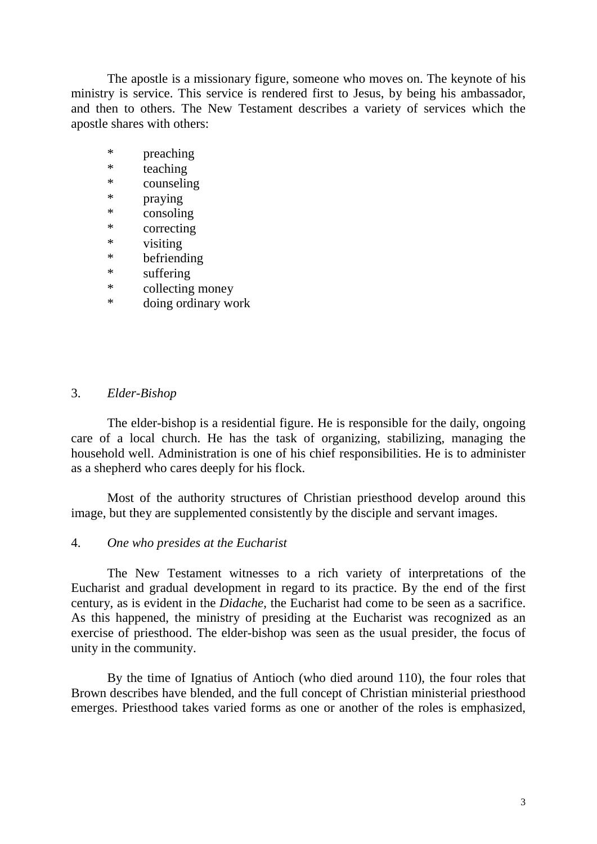The apostle is a missionary figure, someone who moves on. The keynote of his ministry is service. This service is rendered first to Jesus, by being his ambassador, and then to others. The New Testament describes a variety of services which the apostle shares with others:

- \* preaching<br>\* teaching
- \* teaching<br>\* counseling
- counseling
- \* praying
- \* consoling
- \* correcting
- \* visiting
- \* befriending
- suffering
- \* collecting money
- \* doing ordinary work

#### 3. *Elder-Bishop*

The elder-bishop is a residential figure. He is responsible for the daily, ongoing care of a local church. He has the task of organizing, stabilizing, managing the household well. Administration is one of his chief responsibilities. He is to administer as a shepherd who cares deeply for his flock.

Most of the authority structures of Christian priesthood develop around this image, but they are supplemented consistently by the disciple and servant images.

#### 4. *One who presides at the Eucharist*

The New Testament witnesses to a rich variety of interpretations of the Eucharist and gradual development in regard to its practice. By the end of the first century, as is evident in the *Didache*, the Eucharist had come to be seen as a sacrifice. As this happened, the ministry of presiding at the Eucharist was recognized as an exercise of priesthood. The elder-bishop was seen as the usual presider, the focus of unity in the community.

By the time of Ignatius of Antioch (who died around 110), the four roles that Brown describes have blended, and the full concept of Christian ministerial priesthood emerges. Priesthood takes varied forms as one or another of the roles is emphasized,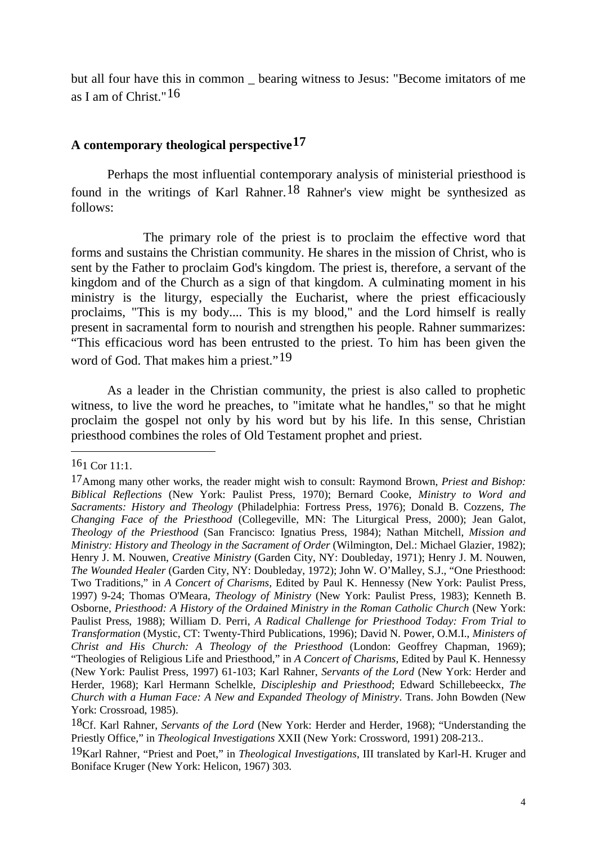but all four have this in common \_ bearing witness to Jesus: "Become imitators of me as I am of Christ."[16](#page-4-0)

#### **A contemporary theological perspective[17](#page-4-1)**

Perhaps the most influential contemporary analysis of ministerial priesthood is found in the writings of Karl Rahner.[18](#page-4-2) Rahner's view might be synthesized as follows:

The primary role of the priest is to proclaim the effective word that forms and sustains the Christian community. He shares in the mission of Christ, who is sent by the Father to proclaim God's kingdom. The priest is, therefore, a servant of the kingdom and of the Church as a sign of that kingdom. A culminating moment in his ministry is the liturgy, especially the Eucharist, where the priest efficaciously proclaims, "This is my body.... This is my blood," and the Lord himself is really present in sacramental form to nourish and strengthen his people. Rahner summarizes: "This efficacious word has been entrusted to the priest. To him has been given the word of God. That makes him a priest."<sup>[19](#page-4-3)</sup>

As a leader in the Christian community, the priest is also called to prophetic witness, to live the word he preaches, to "imitate what he handles," so that he might proclaim the gospel not only by his word but by his life. In this sense, Christian priesthood combines the roles of Old Testament prophet and priest.

<span id="page-4-0"></span><sup>161</sup> Cor 11:1.

<span id="page-4-1"></span><sup>17</sup>Among many other works, the reader might wish to consult: Raymond Brown, *Priest and Bishop: Biblical Reflections* (New York: Paulist Press, 1970); Bernard Cooke, *Ministry to Word and Sacraments: History and Theology* (Philadelphia: Fortress Press, 1976); Donald B. Cozzens, *The Changing Face of the Priesthood* (Collegeville, MN: The Liturgical Press, 2000); Jean Galot, *Theology of the Priesthood* (San Francisco: Ignatius Press, 1984); Nathan Mitchell, *Mission and Ministry: History and Theology in the Sacrament of Order* (Wilmington, Del.: Michael Glazier, 1982); Henry J. M. Nouwen, *Creative Ministry* (Garden City, NY: Doubleday, 1971); Henry J. M. Nouwen, *The Wounded Healer* (Garden City, NY: Doubleday, 1972); John W. O'Malley, S.J., "One Priesthood: Two Traditions," in *A Concert of Charisms,* Edited by Paul K. Hennessy (New York: Paulist Press, 1997) 9-24; Thomas O'Meara, *Theology of Ministry* (New York: Paulist Press, 1983); Kenneth B. Osborne, *Priesthood: A History of the Ordained Ministry in the Roman Catholic Church* (New York: Paulist Press, 1988); William D. Perri, *A Radical Challenge for Priesthood Today: From Trial to Transformation* (Mystic, CT: Twenty-Third Publications, 1996); David N. Power, O.M.I., *Ministers of Christ and His Church: A Theology of the Priesthood* (London: Geoffrey Chapman, 1969); "Theologies of Religious Life and Priesthood," in *A Concert of Charisms,* Edited by Paul K. Hennessy (New York: Paulist Press, 1997) 61-103; Karl Rahner, *Servants of the Lord* (New York: Herder and Herder, 1968); Karl Hermann Schelkle, *Discipleship and Priesthood*; Edward Schillebeeckx, *The Church with a Human Face: A New and Expanded Theology of Ministry*. Trans. John Bowden (New York: Crossroad, 1985).

<span id="page-4-2"></span><sup>18</sup>Cf. Karl Rahner, *Servants of the Lord* (New York: Herder and Herder, 1968); "Understanding the Priestly Office," in *Theological Investigations* XXII (New York: Crossword, 1991) 208-213..

<span id="page-4-3"></span><sup>19</sup>Karl Rahner, "Priest and Poet," in *Theological Investigations*, III translated by Karl-H. Kruger and Boniface Kruger (New York: Helicon, 1967) 303.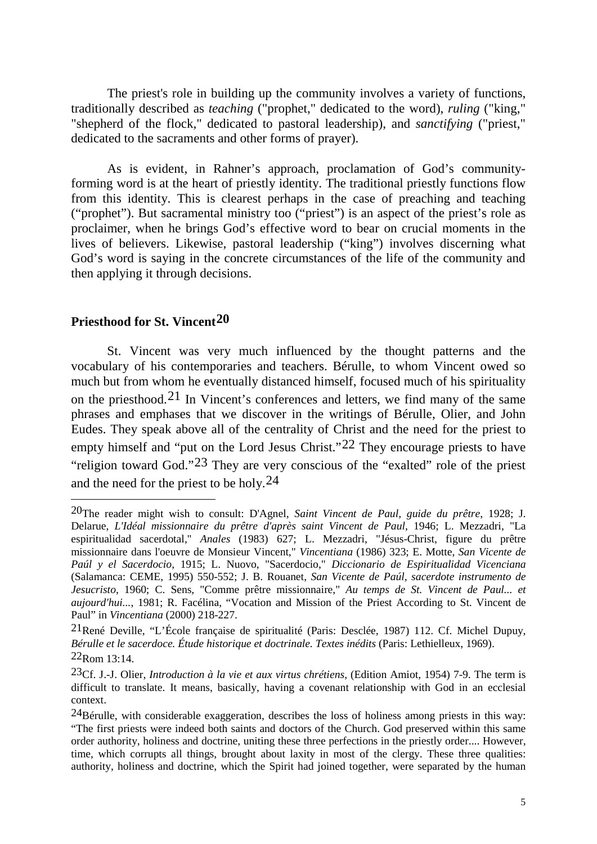The priest's role in building up the community involves a variety of functions, traditionally described as *teaching* ("prophet," dedicated to the word), *ruling* ("king," "shepherd of the flock," dedicated to pastoral leadership), and *sanctifying* ("priest," dedicated to the sacraments and other forms of prayer).

As is evident, in Rahner's approach, proclamation of God's communityforming word is at the heart of priestly identity. The traditional priestly functions flow from this identity. This is clearest perhaps in the case of preaching and teaching ("prophet"). But sacramental ministry too ("priest") is an aspect of the priest's role as proclaimer, when he brings God's effective word to bear on crucial moments in the lives of believers. Likewise, pastoral leadership ("king") involves discerning what God's word is saying in the concrete circumstances of the life of the community and then applying it through decisions.

#### **Priesthood for St. Vincent[20](#page-5-0)**

-

St. Vincent was very much influenced by the thought patterns and the vocabulary of his contemporaries and teachers. Bérulle, to whom Vincent owed so much but from whom he eventually distanced himself, focused much of his spirituality on the priesthood.<sup>[21](#page-5-1)</sup> In Vincent's conferences and letters, we find many of the same phrases and emphases that we discover in the writings of Bérulle, Olier, and John Eudes. They speak above all of the centrality of Christ and the need for the priest to empty himself and "put on the Lord Jesus Christ."<sup>[22](#page-5-2)</sup> They encourage priests to have "religion toward God."[23](#page-5-3) They are very conscious of the "exalted" role of the priest and the need for the priest to be holy.[24](#page-5-4)

<span id="page-5-0"></span><sup>20</sup>The reader might wish to consult: D'Agnel, *Saint Vincent de Paul, guide du prêtre*, 1928; J. Delarue, *L'Idéal missionnaire du prêtre d'après saint Vincent de Paul*, 1946; L. Mezzadri, "La espiritualidad sacerdotal," *Anales* (1983) 627; L. Mezzadri, "Jésus-Christ, figure du prêtre missionnaire dans l'oeuvre de Monsieur Vincent," *Vincentiana* (1986) 323; E. Motte, *San Vicente de Paúl y el Sacerdocio*, 1915; L. Nuovo, "Sacerdocio," *Diccionario de Espiritualidad Vicenciana* (Salamanca: CEME, 1995) 550-552; J. B. Rouanet, *San Vicente de Paúl, sacerdote instrumento de Jesucristo*, 1960; C. Sens, "Comme prêtre missionnaire," *Au temps de St. Vincent de Paul... et aujourd'hui...*, 1981; R. Facélina, "Vocation and Mission of the Priest According to St. Vincent de Paul" in *Vincentiana* (2000) 218-227.

<span id="page-5-1"></span><sup>21</sup>René Deville, "L'École française de spiritualité (Paris: Desclée, 1987) 112. Cf. Michel Dupuy, *Bérulle et le sacerdoce. Étude historique et doctrinale. Textes inédits* (Paris: Lethielleux, 1969). 22Rom 13:14.

<span id="page-5-3"></span><span id="page-5-2"></span><sup>23</sup>Cf. J.-J. Olier, *Introduction à la vie et aux virtus chrétiens*, (Edition Amiot, 1954) 7-9. The term is difficult to translate. It means, basically, having a covenant relationship with God in an ecclesial context.

<span id="page-5-4"></span> $24B$ érulle, with considerable exaggeration, describes the loss of holiness among priests in this way: "The first priests were indeed both saints and doctors of the Church. God preserved within this same order authority, holiness and doctrine, uniting these three perfections in the priestly order.... However, time, which corrupts all things, brought about laxity in most of the clergy. These three qualities: authority, holiness and doctrine, which the Spirit had joined together, were separated by the human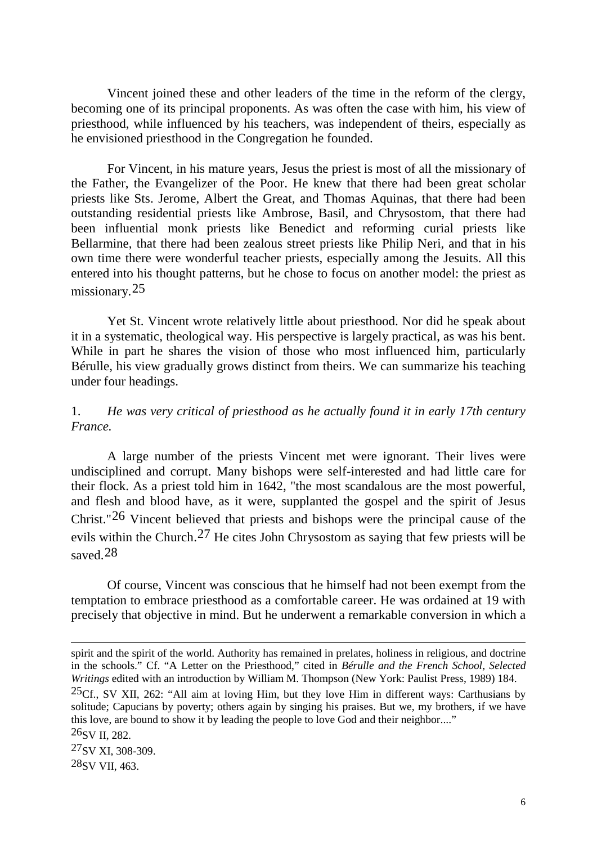Vincent joined these and other leaders of the time in the reform of the clergy, becoming one of its principal proponents. As was often the case with him, his view of priesthood, while influenced by his teachers, was independent of theirs, especially as he envisioned priesthood in the Congregation he founded.

For Vincent, in his mature years, Jesus the priest is most of all the missionary of the Father, the Evangelizer of the Poor. He knew that there had been great scholar priests like Sts. Jerome, Albert the Great, and Thomas Aquinas, that there had been outstanding residential priests like Ambrose, Basil, and Chrysostom, that there had been influential monk priests like Benedict and reforming curial priests like Bellarmine, that there had been zealous street priests like Philip Neri, and that in his own time there were wonderful teacher priests, especially among the Jesuits. All this entered into his thought patterns, but he chose to focus on another model: the priest as missionary.[25](#page-6-0)

Yet St. Vincent wrote relatively little about priesthood. Nor did he speak about it in a systematic, theological way. His perspective is largely practical, as was his bent. While in part he shares the vision of those who most influenced him, particularly Bérulle, his view gradually grows distinct from theirs. We can summarize his teaching under four headings.

#### 1. *He was very critical of priesthood as he actually found it in early 17th century France.*

A large number of the priests Vincent met were ignorant. Their lives were undisciplined and corrupt. Many bishops were self-interested and had little care for their flock. As a priest told him in 1642, "the most scandalous are the most powerful, and flesh and blood have, as it were, supplanted the gospel and the spirit of Jesus Christ."[26](#page-6-1) Vincent believed that priests and bishops were the principal cause of the evils within the Church.[27](#page-6-2) He cites John Chrysostom as saying that few priests will be saved.[28](#page-6-3)

Of course, Vincent was conscious that he himself had not been exempt from the temptation to embrace priesthood as a comfortable career. He was ordained at 19 with precisely that objective in mind. But he underwent a remarkable conversion in which a

<span id="page-6-0"></span>25Cf., SV XII, 262: "All aim at loving Him, but they love Him in different ways: Carthusians by solitude; Capucians by poverty; others again by singing his praises. But we, my brothers, if we have this love, are bound to show it by leading the people to love God and their neighbor...."

-

<span id="page-6-3"></span><span id="page-6-2"></span>27SV XI, 308-309. 28SV VII, 463.

spirit and the spirit of the world. Authority has remained in prelates, holiness in religious, and doctrine in the schools." Cf. "A Letter on the Priesthood," cited in *Bérulle and the French School, Selected Writings* edited with an introduction by William M. Thompson (New York: Paulist Press, 1989) 184.

<span id="page-6-1"></span><sup>26</sup>SV II, 282.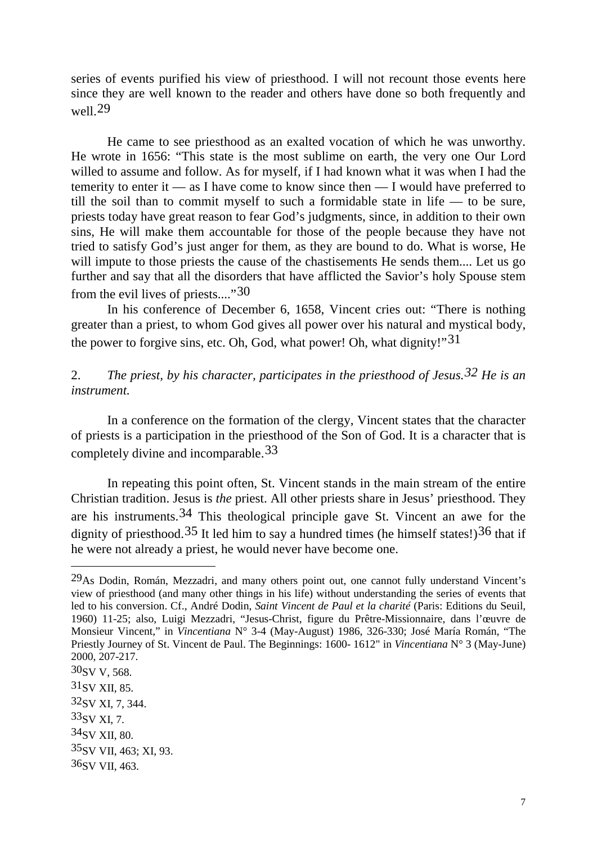series of events purified his view of priesthood. I will not recount those events here since they are well known to the reader and others have done so both frequently and well.[29](#page-7-0)

He came to see priesthood as an exalted vocation of which he was unworthy. He wrote in 1656: "This state is the most sublime on earth, the very one Our Lord willed to assume and follow. As for myself, if I had known what it was when I had the temerity to enter it — as I have come to know since then — I would have preferred to till the soil than to commit myself to such a formidable state in life — to be sure, priests today have great reason to fear God's judgments, since, in addition to their own sins, He will make them accountable for those of the people because they have not tried to satisfy God's just anger for them, as they are bound to do. What is worse, He will impute to those priests the cause of the chastisements He sends them.... Let us go further and say that all the disorders that have afflicted the Savior's holy Spouse stem from the evil lives of priests...."[30](#page-7-1)

In his conference of December 6, 1658, Vincent cries out: "There is nothing greater than a priest, to whom God gives all power over his natural and mystical body, the power to forgive sins, etc. Oh, God, what power! Oh, what dignity!"[31](#page-7-2)

## 2. *The priest, by his character, participates in the priesthood of Jesus.[32](#page-7-3) He is an instrument.*

In a conference on the formation of the clergy, Vincent states that the character of priests is a participation in the priesthood of the Son of God. It is a character that is completely divine and incomparable.[33](#page-7-4)

In repeating this point often, St. Vincent stands in the main stream of the entire Christian tradition. Jesus is *the* priest. All other priests share in Jesus' priesthood. They are his instruments.[34](#page-7-5) This theological principle gave St. Vincent an awe for the dignity of priesthood.<sup>[35](#page-7-6)</sup> It led him to say a hundred times (he himself states!)<sup>[36](#page-7-7)</sup> that if he were not already a priest, he would never have become one.

<span id="page-7-0"></span><sup>29</sup>As Dodin, Román, Mezzadri, and many others point out, one cannot fully understand Vincent's view of priesthood (and many other things in his life) without understanding the series of events that led to his conversion. Cf., André Dodin, *Saint Vincent de Paul et la charité* (Paris: Editions du Seuil, 1960) 11-25; also, Luigi Mezzadri, "Jesus-Christ, figure du Prêtre-Missionnaire, dans l'œuvre de Monsieur Vincent," in *Vincentiana* N° 3-4 (May-August) 1986, 326-330; José María Román, "The Priestly Journey of St. Vincent de Paul. The Beginnings: 1600- 1612" in *Vincentiana* N° 3 (May-June) 2000, 207-217.

<span id="page-7-2"></span><span id="page-7-1"></span> $30$ SV V, 568. 31SV XII, 85.

<span id="page-7-3"></span><sup>32</sup>SV XI, 7, 344.

<span id="page-7-4"></span><sup>33</sup>SV XI, 7.

<span id="page-7-5"></span><sup>34</sup>SV XII, 80.

<span id="page-7-6"></span><sup>35</sup>SV VII, 463; XI, 93.

<span id="page-7-7"></span><sup>36</sup>SV VII, 463.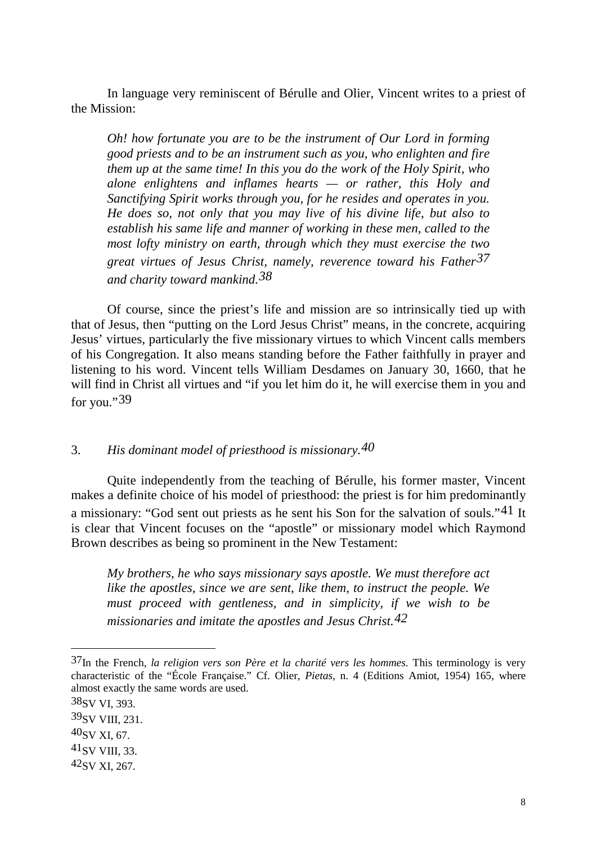In language very reminiscent of Bérulle and Olier, Vincent writes to a priest of the Mission:

*Oh! how fortunate you are to be the instrument of Our Lord in forming good priests and to be an instrument such as you, who enlighten and fire them up at the same time! In this you do the work of the Holy Spirit, who alone enlightens and inflames hearts — or rather, this Holy and Sanctifying Spirit works through you, for he resides and operates in you. He does so, not only that you may live of his divine life, but also to establish his same life and manner of working in these men, called to the most lofty ministry on earth, through which they must exercise the two great virtues of Jesus Christ, namely, reverence toward his Father[37](#page-8-0) and charity toward mankind.[38](#page-8-1)*

Of course, since the priest's life and mission are so intrinsically tied up with that of Jesus, then "putting on the Lord Jesus Christ" means, in the concrete, acquiring Jesus' virtues, particularly the five missionary virtues to which Vincent calls members of his Congregation. It also means standing before the Father faithfully in prayer and listening to his word. Vincent tells William Desdames on January 30, 1660, that he will find in Christ all virtues and "if you let him do it, he will exercise them in you and for you."[39](#page-8-2)

## 3. *His dominant model of priesthood is missionary[.40](#page-8-3)*

Quite independently from the teaching of Bérulle, his former master, Vincent makes a definite choice of his model of priesthood: the priest is for him predominantly a missionary: "God sent out priests as he sent his Son for the salvation of souls."[41](#page-8-4) It is clear that Vincent focuses on the "apostle" or missionary model which Raymond Brown describes as being so prominent in the New Testament:

*My brothers, he who says missionary says apostle. We must therefore act like the apostles, since we are sent, like them, to instruct the people. We must proceed with gentleness, and in simplicity, if we wish to be missionaries and imitate the apostles and Jesus Christ.[42](#page-8-5)*

-

<span id="page-8-4"></span>41SV VIII, 33.

<span id="page-8-0"></span><sup>37</sup>In the French, *la religion vers son Père et la charité vers les hommes.* This terminology is very characteristic of the "École Française." Cf. Olier, *Pietas*, n. 4 (Editions Amiot, 1954) 165, where almost exactly the same words are used.

<span id="page-8-1"></span><sup>38</sup>SV VI, 393.

<span id="page-8-2"></span><sup>39</sup>SV VIII, 231.

<span id="page-8-3"></span><sup>40</sup>SV XI, 67.

<span id="page-8-5"></span><sup>42</sup>SV XI, 267.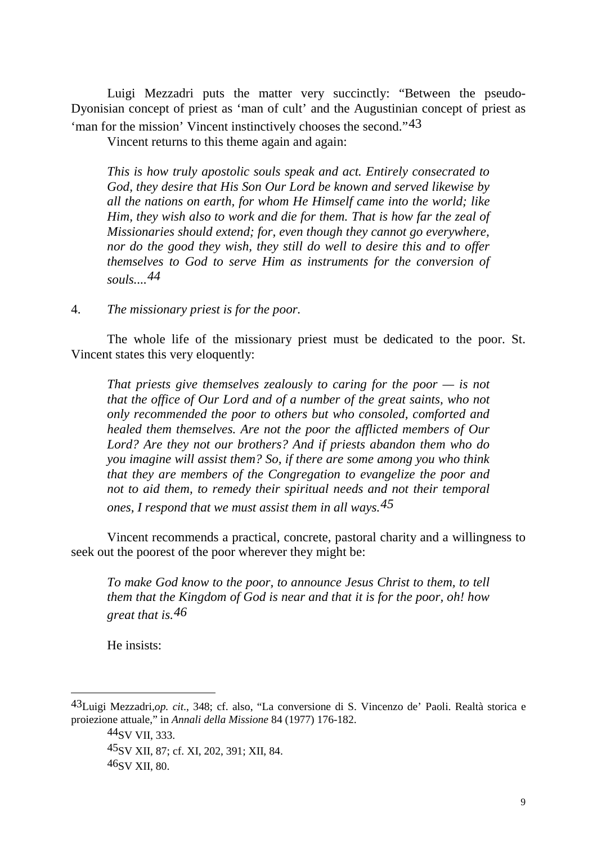Luigi Mezzadri puts the matter very succinctly: "Between the pseudo-Dyonisian concept of priest as 'man of cult' and the Augustinian concept of priest as 'man for the mission' Vincent instinctively chooses the second."[43](#page-9-0)

Vincent returns to this theme again and again:

*This is how truly apostolic souls speak and act. Entirely consecrated to God, they desire that His Son Our Lord be known and served likewise by all the nations on earth, for whom He Himself came into the world; like Him, they wish also to work and die for them. That is how far the zeal of Missionaries should extend; for, even though they cannot go everywhere, nor do the good they wish, they still do well to desire this and to offer themselves to God to serve Him as instruments for the conversion of souls....[44](#page-9-1)*

4. *The missionary priest is for the poor.*

The whole life of the missionary priest must be dedicated to the poor. St. Vincent states this very eloquently:

*That priests give themselves zealously to caring for the poor — is not that the office of Our Lord and of a number of the great saints, who not only recommended the poor to others but who consoled, comforted and healed them themselves. Are not the poor the afflicted members of Our Lord? Are they not our brothers? And if priests abandon them who do you imagine will assist them? So, if there are some among you who think that they are members of the Congregation to evangelize the poor and not to aid them, to remedy their spiritual needs and not their temporal ones, I respond that we must assist them in all ways.[45](#page-9-2)*

Vincent recommends a practical, concrete, pastoral charity and a willingness to seek out the poorest of the poor wherever they might be:

*To make God know to the poor, to announce Jesus Christ to them, to tell them that the Kingdom of God is near and that it is for the poor, oh! how great that is.[46](#page-9-3)*

He insists:

-

44SV VII, 333. 45SV XII, 87; cf. XI, 202, 391; XII, 84. 46SV XII, 80.

<span id="page-9-3"></span><span id="page-9-2"></span><span id="page-9-1"></span><span id="page-9-0"></span><sup>43</sup>Luigi Mezzadri,*op. cit.*, 348; cf. also, "La conversione di S. Vincenzo de' Paoli. Realtà storica e proiezione attuale," in *Annali della Missione* 84 (1977) 176-182.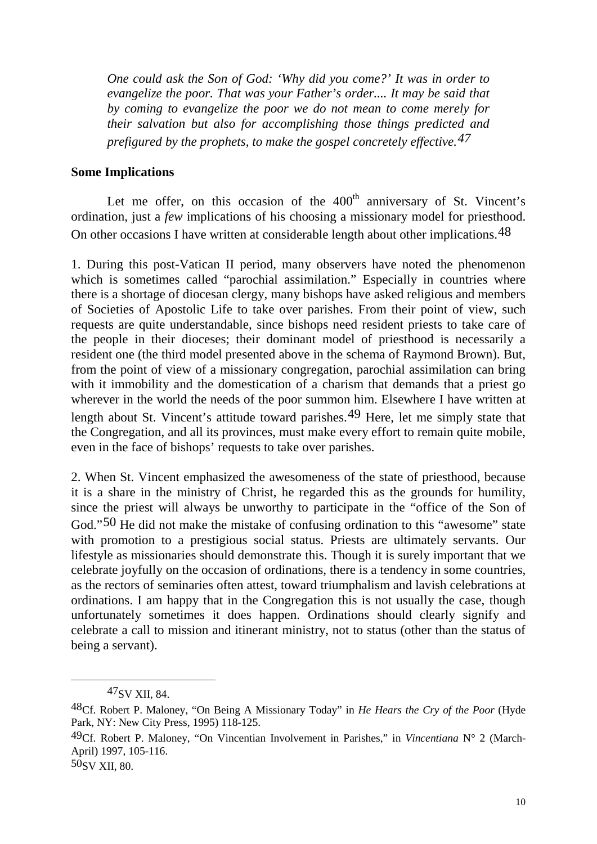*One could ask the Son of God: 'Why did you come?' It was in order to evangelize the poor. That was your Father's order.... It may be said that by coming to evangelize the poor we do not mean to come merely for their salvation but also for accomplishing those things predicted and prefigured by the prophets, to make the gospel concretely effective.[47](#page-10-0)*

#### **Some Implications**

Let me offer, on this occasion of the  $400<sup>th</sup>$  anniversary of St. Vincent's ordination, just a *few* implications of his choosing a missionary model for priesthood. On other occasions I have written at considerable length about other implications.[48](#page-10-1)

1. During this post-Vatican II period, many observers have noted the phenomenon which is sometimes called "parochial assimilation." Especially in countries where there is a shortage of diocesan clergy, many bishops have asked religious and members of Societies of Apostolic Life to take over parishes. From their point of view, such requests are quite understandable, since bishops need resident priests to take care of the people in their dioceses; their dominant model of priesthood is necessarily a resident one (the third model presented above in the schema of Raymond Brown). But, from the point of view of a missionary congregation, parochial assimilation can bring with it immobility and the domestication of a charism that demands that a priest go wherever in the world the needs of the poor summon him. Elsewhere I have written at length about St. Vincent's attitude toward parishes.[49](#page-10-2) Here, let me simply state that the Congregation, and all its provinces, must make every effort to remain quite mobile, even in the face of bishops' requests to take over parishes.

2. When St. Vincent emphasized the awesomeness of the state of priesthood, because it is a share in the ministry of Christ, he regarded this as the grounds for humility, since the priest will always be unworthy to participate in the "office of the Son of God."[50](#page-10-3) He did not make the mistake of confusing ordination to this "awesome" state with promotion to a prestigious social status. Priests are ultimately servants. Our lifestyle as missionaries should demonstrate this. Though it is surely important that we celebrate joyfully on the occasion of ordinations, there is a tendency in some countries, as the rectors of seminaries often attest, toward triumphalism and lavish celebrations at ordinations. I am happy that in the Congregation this is not usually the case, though unfortunately sometimes it does happen. Ordinations should clearly signify and celebrate a call to mission and itinerant ministry, not to status (other than the status of being a servant).

<sup>47</sup>SV XII, 84.

<span id="page-10-1"></span><span id="page-10-0"></span><sup>48</sup>Cf. Robert P. Maloney, "On Being A Missionary Today" in *He Hears the Cry of the Poor* (Hyde Park, NY: New City Press, 1995) 118-125.

<span id="page-10-2"></span><sup>49</sup>Cf. Robert P. Maloney, "On Vincentian Involvement in Parishes," in *Vincentiana* N° 2 (March-April) 1997, 105-116.

<span id="page-10-3"></span><sup>50</sup>SV XII, 80.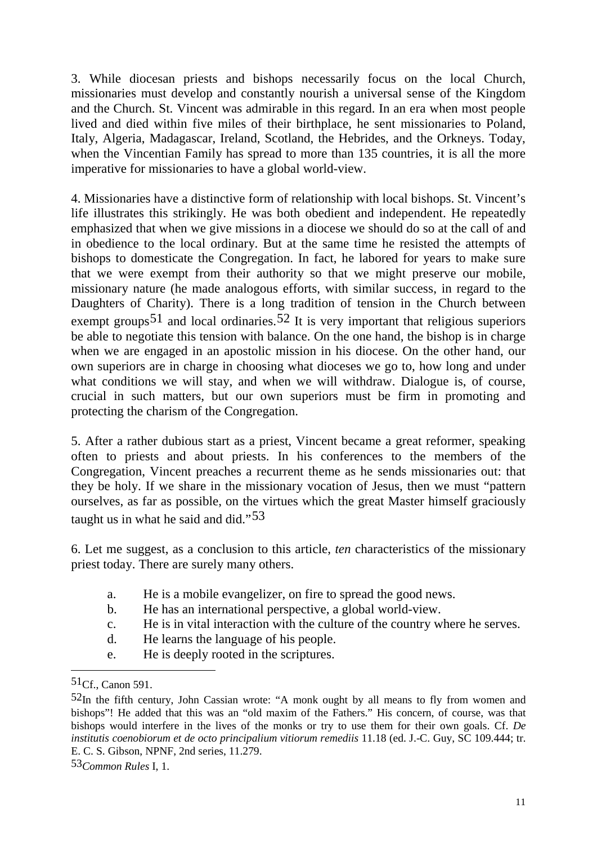3. While diocesan priests and bishops necessarily focus on the local Church, missionaries must develop and constantly nourish a universal sense of the Kingdom and the Church. St. Vincent was admirable in this regard. In an era when most people lived and died within five miles of their birthplace, he sent missionaries to Poland, Italy, Algeria, Madagascar, Ireland, Scotland, the Hebrides, and the Orkneys. Today, when the Vincentian Family has spread to more than 135 countries, it is all the more imperative for missionaries to have a global world-view.

4. Missionaries have a distinctive form of relationship with local bishops. St. Vincent's life illustrates this strikingly. He was both obedient and independent. He repeatedly emphasized that when we give missions in a diocese we should do so at the call of and in obedience to the local ordinary. But at the same time he resisted the attempts of bishops to domesticate the Congregation. In fact, he labored for years to make sure that we were exempt from their authority so that we might preserve our mobile, missionary nature (he made analogous efforts, with similar success, in regard to the Daughters of Charity). There is a long tradition of tension in the Church between exempt groups<sup>[51](#page-11-0)</sup> and local ordinaries.<sup>[52](#page-11-1)</sup> It is very important that religious superiors be able to negotiate this tension with balance. On the one hand, the bishop is in charge when we are engaged in an apostolic mission in his diocese. On the other hand, our own superiors are in charge in choosing what dioceses we go to, how long and under what conditions we will stay, and when we will withdraw. Dialogue is, of course, crucial in such matters, but our own superiors must be firm in promoting and protecting the charism of the Congregation.

5. After a rather dubious start as a priest, Vincent became a great reformer, speaking often to priests and about priests. In his conferences to the members of the Congregation, Vincent preaches a recurrent theme as he sends missionaries out: that they be holy. If we share in the missionary vocation of Jesus, then we must "pattern ourselves, as far as possible, on the virtues which the great Master himself graciously taught us in what he said and did."[53](#page-11-2)

6. Let me suggest, as a conclusion to this article, *ten* characteristics of the missionary priest today. There are surely many others.

- a. He is a mobile evangelizer, on fire to spread the good news.
- b. He has an international perspective, a global world-view.
- c. He is in vital interaction with the culture of the country where he serves.
- d. He learns the language of his people.
- e. He is deeply rooted in the scriptures.

<span id="page-11-0"></span><sup>51</sup>Cf., Canon 591.

<span id="page-11-1"></span> $52<sub>In</sub>$  the fifth century, John Cassian wrote: "A monk ought by all means to fly from women and bishops"! He added that this was an "old maxim of the Fathers." His concern, of course, was that bishops would interfere in the lives of the monks or try to use them for their own goals. Cf. *De institutis coenobiorum et de octo principalium vitiorum remediis* 11.18 (ed. J.-C. Guy, SC 109.444; tr. E. C. S. Gibson, NPNF, 2nd series, 11.279.

<span id="page-11-2"></span><sup>53</sup>*Common Rules* I, 1.